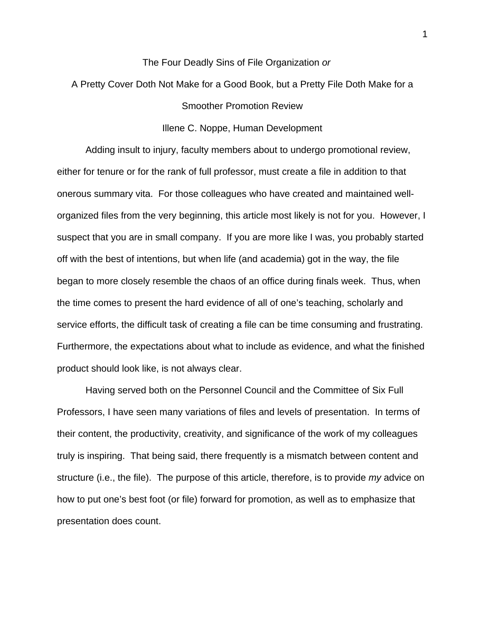## The Four Deadly Sins of File Organization *or*

A Pretty Cover Doth Not Make for a Good Book, but a Pretty File Doth Make for a Smoother Promotion Review

### Illene C. Noppe, Human Development

 Adding insult to injury, faculty members about to undergo promotional review, either for tenure or for the rank of full professor, must create a file in addition to that onerous summary vita. For those colleagues who have created and maintained wellorganized files from the very beginning, this article most likely is not for you. However, I suspect that you are in small company. If you are more like I was, you probably started off with the best of intentions, but when life (and academia) got in the way, the file began to more closely resemble the chaos of an office during finals week. Thus, when the time comes to present the hard evidence of all of one's teaching, scholarly and service efforts, the difficult task of creating a file can be time consuming and frustrating. Furthermore, the expectations about what to include as evidence, and what the finished product should look like, is not always clear.

 Having served both on the Personnel Council and the Committee of Six Full Professors, I have seen many variations of files and levels of presentation. In terms of their content, the productivity, creativity, and significance of the work of my colleagues truly is inspiring. That being said, there frequently is a mismatch between content and structure (i.e., the file). The purpose of this article, therefore, is to provide *my* advice on how to put one's best foot (or file) forward for promotion, as well as to emphasize that presentation does count.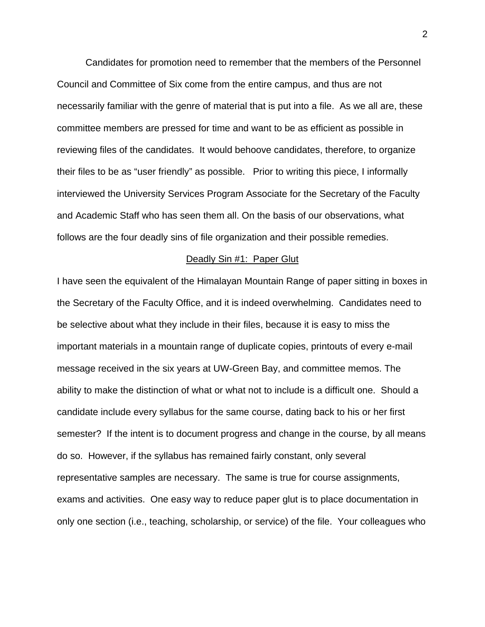Candidates for promotion need to remember that the members of the Personnel Council and Committee of Six come from the entire campus, and thus are not necessarily familiar with the genre of material that is put into a file. As we all are, these committee members are pressed for time and want to be as efficient as possible in reviewing files of the candidates. It would behoove candidates, therefore, to organize their files to be as "user friendly" as possible. Prior to writing this piece, I informally interviewed the University Services Program Associate for the Secretary of the Faculty and Academic Staff who has seen them all. On the basis of our observations, what follows are the four deadly sins of file organization and their possible remedies.

#### Deadly Sin #1: Paper Glut

I have seen the equivalent of the Himalayan Mountain Range of paper sitting in boxes in the Secretary of the Faculty Office, and it is indeed overwhelming. Candidates need to be selective about what they include in their files, because it is easy to miss the important materials in a mountain range of duplicate copies, printouts of every e-mail message received in the six years at UW-Green Bay, and committee memos. The ability to make the distinction of what or what not to include is a difficult one. Should a candidate include every syllabus for the same course, dating back to his or her first semester? If the intent is to document progress and change in the course, by all means do so. However, if the syllabus has remained fairly constant, only several representative samples are necessary. The same is true for course assignments, exams and activities. One easy way to reduce paper glut is to place documentation in only one section (i.e., teaching, scholarship, or service) of the file. Your colleagues who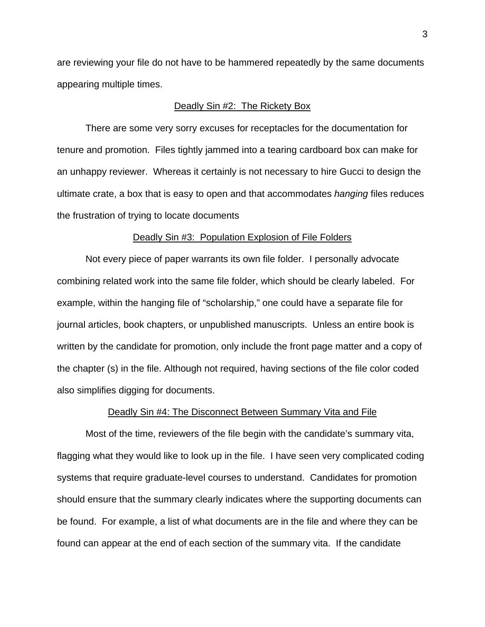are reviewing your file do not have to be hammered repeatedly by the same documents appearing multiple times.

# Deadly Sin #2: The Rickety Box

 There are some very sorry excuses for receptacles for the documentation for tenure and promotion. Files tightly jammed into a tearing cardboard box can make for an unhappy reviewer. Whereas it certainly is not necessary to hire Gucci to design the ultimate crate, a box that is easy to open and that accommodates *hanging* files reduces the frustration of trying to locate documents

### Deadly Sin #3: Population Explosion of File Folders

 Not every piece of paper warrants its own file folder. I personally advocate combining related work into the same file folder, which should be clearly labeled. For example, within the hanging file of "scholarship," one could have a separate file for journal articles, book chapters, or unpublished manuscripts. Unless an entire book is written by the candidate for promotion, only include the front page matter and a copy of the chapter (s) in the file. Although not required, having sections of the file color coded also simplifies digging for documents.

## Deadly Sin #4: The Disconnect Between Summary Vita and File

 Most of the time, reviewers of the file begin with the candidate's summary vita, flagging what they would like to look up in the file. I have seen very complicated coding systems that require graduate-level courses to understand. Candidates for promotion should ensure that the summary clearly indicates where the supporting documents can be found. For example, a list of what documents are in the file and where they can be found can appear at the end of each section of the summary vita. If the candidate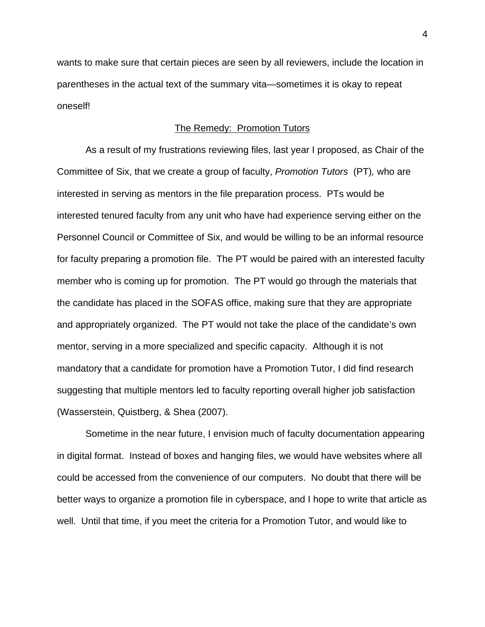wants to make sure that certain pieces are seen by all reviewers, include the location in parentheses in the actual text of the summary vita—sometimes it is okay to repeat oneself!

## The Remedy: Promotion Tutors

 As a result of my frustrations reviewing files, last year I proposed, as Chair of the Committee of Six, that we create a group of faculty, *Promotion Tutors* (PT)*,* who are interested in serving as mentors in the file preparation process. PTs would be interested tenured faculty from any unit who have had experience serving either on the Personnel Council or Committee of Six, and would be willing to be an informal resource for faculty preparing a promotion file. The PT would be paired with an interested faculty member who is coming up for promotion. The PT would go through the materials that the candidate has placed in the SOFAS office, making sure that they are appropriate and appropriately organized. The PT would not take the place of the candidate's own mentor, serving in a more specialized and specific capacity. Although it is not mandatory that a candidate for promotion have a Promotion Tutor, I did find research suggesting that multiple mentors led to faculty reporting overall higher job satisfaction (Wasserstein, Quistberg, & Shea (2007).

 Sometime in the near future, I envision much of faculty documentation appearing in digital format. Instead of boxes and hanging files, we would have websites where all could be accessed from the convenience of our computers. No doubt that there will be better ways to organize a promotion file in cyberspace, and I hope to write that article as well. Until that time, if you meet the criteria for a Promotion Tutor, and would like to